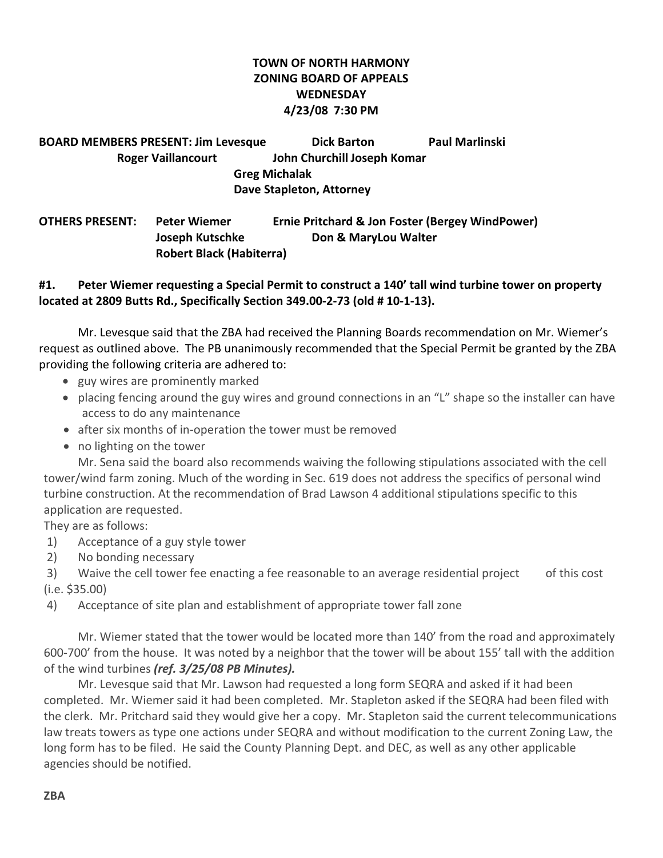# **TOWN OF NORTH HARMONY ZONING BOARD OF APPEALS WEDNESDAY 4/23/08 7:30 PM**

**BOARD MEMBERS PRESENT: Jim Levesque Dick Barton Paul Marlinski Roger Vaillancourt John Churchill Joseph Komar Greg Michalak Dave Stapleton, Attorney**

**OTHERS PRESENT: Peter Wiemer Ernie Pritchard & Jon Foster (Bergey WindPower) Joseph Kutschke Don & MaryLou Walter Robert Black (Habiterra)**

#### **#1. Peter Wiemer requesting a Special Permit to construct a 140' tall wind turbine tower on property located at 2809 Butts Rd., Specifically Section 349.00‐2‐73 (old # 10‐1‐13).**

Mr. Levesque said that the ZBA had received the Planning Boards recommendation on Mr. Wiemer's request as outlined above. The PB unanimously recommended that the Special Permit be granted by the ZBA providing the following criteria are adhered to:

- guy wires are prominently marked
- placing fencing around the guy wires and ground connections in an "L" shape so the installer can have access to do any maintenance
- after six months of in‐operation the tower must be removed
- no lighting on the tower

Mr. Sena said the board also recommends waiving the following stipulations associated with the cell tower/wind farm zoning. Much of the wording in Sec. 619 does not address the specifics of personal wind turbine construction. At the recommendation of Brad Lawson 4 additional stipulations specific to this application are requested.

They are as follows:

- 1) Acceptance of a guy style tower
- 2) No bonding necessary

3) Waive the cell tower fee enacting a fee reasonable to an average residential project of this cost (i.e. \$35.00)

4) Acceptance of site plan and establishment of appropriate tower fall zone

Mr. Wiemer stated that the tower would be located more than 140' from the road and approximately 600‐700' from the house. It was noted by a neighbor that the tower will be about 155' tall with the addition of the wind turbines *(ref. 3/25/08 PB Minutes).*

Mr. Levesque said that Mr. Lawson had requested a long form SEQRA and asked if it had been completed. Mr. Wiemer said it had been completed. Mr. Stapleton asked if the SEQRA had been filed with the clerk. Mr. Pritchard said they would give her a copy. Mr. Stapleton said the current telecommunications law treats towers as type one actions under SEQRA and without modification to the current Zoning Law, the long form has to be filed. He said the County Planning Dept. and DEC, as well as any other applicable agencies should be notified.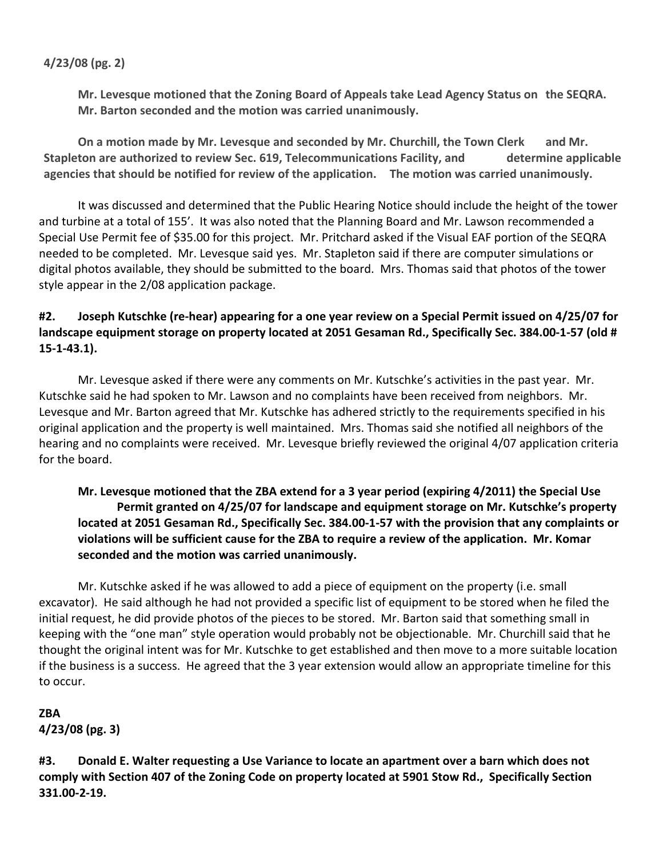### **4/23/08 (pg. 2)**

**Mr. Levesque motioned that the Zoning Board of Appeals take Lead Agency Status on the SEQRA. Mr. Barton seconded and the motion was carried unanimously.**

**On a motion made by Mr. Levesque and seconded by Mr. Churchill, the Town Clerk and Mr. Stapleton are authorized to review Sec. 619, Telecommunications Facility, and determine applicable agencies that should be notified for review of the application. The motion was carried unanimously.**

It was discussed and determined that the Public Hearing Notice should include the height of the tower and turbine at a total of 155'. It was also noted that the Planning Board and Mr. Lawson recommended a Special Use Permit fee of \$35.00 for this project. Mr. Pritchard asked if the Visual EAF portion of the SEQRA needed to be completed. Mr. Levesque said yes. Mr. Stapleton said if there are computer simulations or digital photos available, they should be submitted to the board. Mrs. Thomas said that photos of the tower style appear in the 2/08 application package.

# #2. Joseph Kutschke (re-hear) appearing for a one year review on a Special Permit issued on 4/25/07 for landscape equipment storage on property located at 2051 Gesaman Rd., Specifically Sec. 384.00-1-57 (old # **15‐1‐43.1).**

Mr. Levesque asked if there were any comments on Mr. Kutschke's activities in the past year. Mr. Kutschke said he had spoken to Mr. Lawson and no complaints have been received from neighbors. Mr. Levesque and Mr. Barton agreed that Mr. Kutschke has adhered strictly to the requirements specified in his original application and the property is well maintained. Mrs. Thomas said she notified all neighbors of the hearing and no complaints were received. Mr. Levesque briefly reviewed the original 4/07 application criteria for the board.

# **Mr. Levesque motioned that the ZBA extend for a 3 year period (expiring 4/2011) the Special Use Permit granted on 4/25/07 for landscape and equipment storage on Mr. Kutschke's property** located at 2051 Gesaman Rd., Specifically Sec. 384.00-1-57 with the provision that any complaints or **violations will be sufficient cause for the ZBA to require a review of the application. Mr. Komar seconded and the motion was carried unanimously.**

Mr. Kutschke asked if he was allowed to add a piece of equipment on the property (i.e. small excavator). He said although he had not provided a specific list of equipment to be stored when he filed the initial request, he did provide photos of the pieces to be stored. Mr. Barton said that something small in keeping with the "one man" style operation would probably not be objectionable. Mr. Churchill said that he thought the original intent was for Mr. Kutschke to get established and then move to a more suitable location if the business is a success. He agreed that the 3 year extension would allow an appropriate timeline for this to occur.

# **ZBA 4/23/08 (pg. 3)**

**#3. Donald E. Walter requesting a Use Variance to locate an apartment over a barn which does not** comply with Section 407 of the Zoning Code on property located at 5901 Stow Rd., Specifically Section **331.00‐2‐19.**